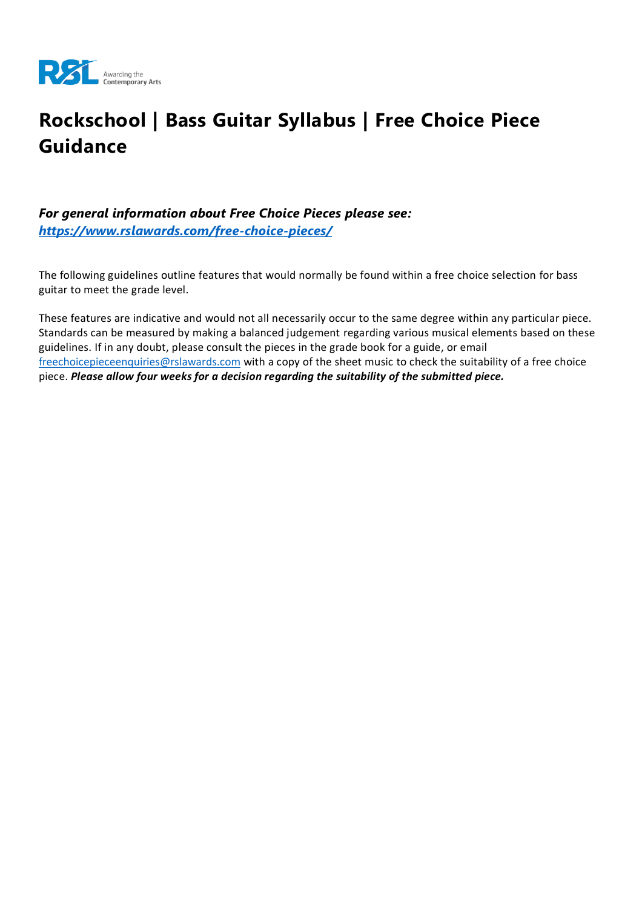

# **Rockschool | Bass Guitar Syllabus | Free Choice Piece Guidance**

#### *For general information about Free Choice Pieces please see: <https://www.rslawards.com/free-choice-pieces/>*

The following guidelines outline features that would normally be found within a free choice selection for bass guitar to meet the grade level.

These features are indicative and would not all necessarily occur to the same degree within any particular piece. Standards can be measured by making a balanced judgement regarding various musical elements based on these guidelines. If in any doubt, please consult the pieces in the grade book for a guide, or email [freechoicepieceenquiries@rslawards.com](mailto:freechoicepieceenquiries@rslawards.com) with a copy of the sheet music to check the suitability of a free choice piece. *Please allow four weeks for a decision regarding the suitability of the submitted piece.*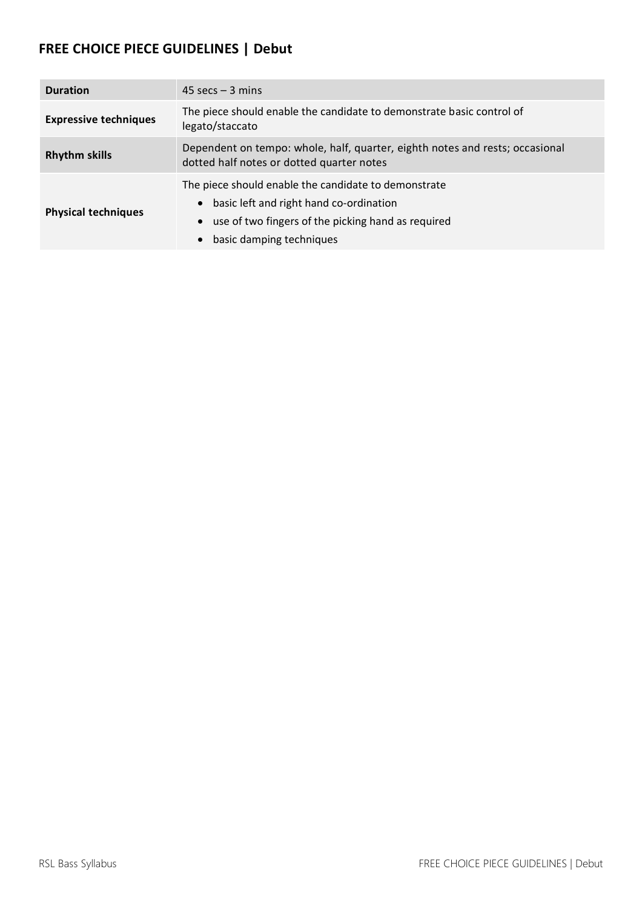### **FREE CHOICE PIECE GUIDELINES | Debut**

| <b>Duration</b>              | $45$ secs $-3$ mins                                                                                                                                                               |
|------------------------------|-----------------------------------------------------------------------------------------------------------------------------------------------------------------------------------|
| <b>Expressive techniques</b> | The piece should enable the candidate to demonstrate basic control of<br>legato/staccato                                                                                          |
| <b>Rhythm skills</b>         | Dependent on tempo: whole, half, quarter, eighth notes and rests; occasional<br>dotted half notes or dotted quarter notes                                                         |
| <b>Physical techniques</b>   | The piece should enable the candidate to demonstrate<br>basic left and right hand co-ordination<br>use of two fingers of the picking hand as required<br>basic damping techniques |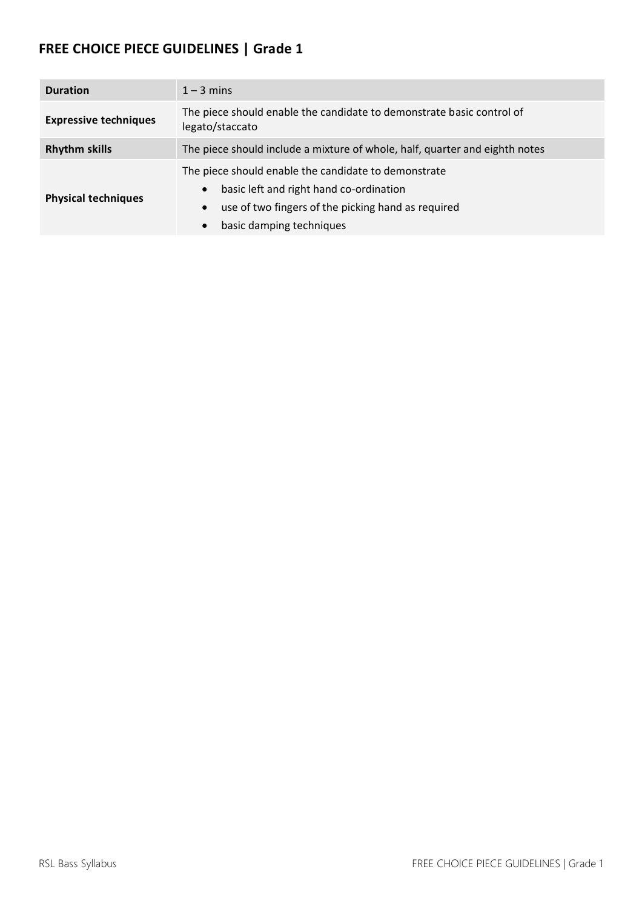| <b>Duration</b>              | $1 - 3$ mins                                                                                                                                                                                                             |
|------------------------------|--------------------------------------------------------------------------------------------------------------------------------------------------------------------------------------------------------------------------|
| <b>Expressive techniques</b> | The piece should enable the candidate to demonstrate basic control of<br>legato/staccato                                                                                                                                 |
| <b>Rhythm skills</b>         | The piece should include a mixture of whole, half, quarter and eighth notes                                                                                                                                              |
| <b>Physical techniques</b>   | The piece should enable the candidate to demonstrate<br>basic left and right hand co-ordination<br>$\bullet$<br>use of two fingers of the picking hand as required<br>$\bullet$<br>basic damping techniques<br>$\bullet$ |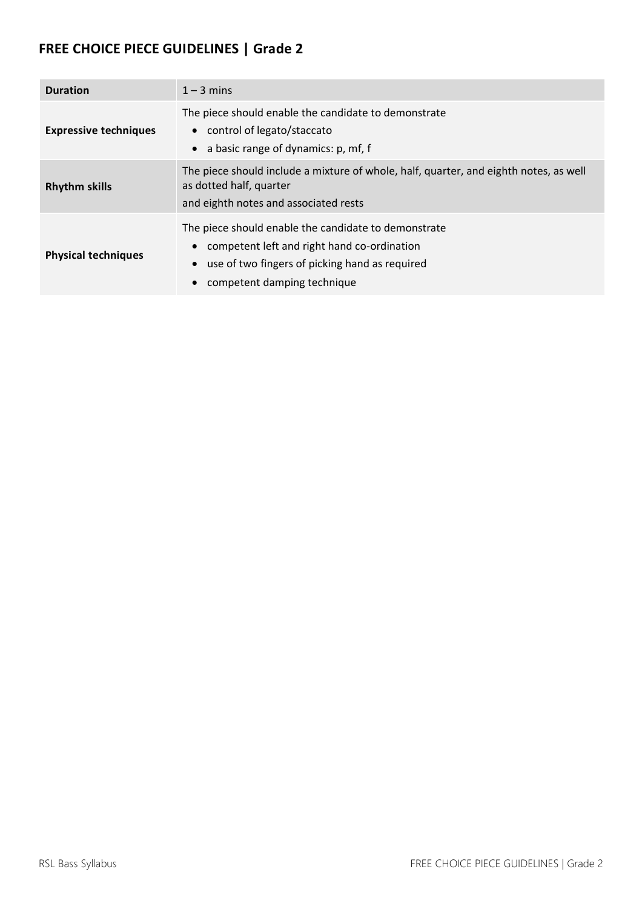| <b>Duration</b>              | $1 - 3$ mins                                                                                                                                                                         |
|------------------------------|--------------------------------------------------------------------------------------------------------------------------------------------------------------------------------------|
| <b>Expressive techniques</b> | The piece should enable the candidate to demonstrate<br>• control of legato/staccato<br>a basic range of dynamics: p, mf, f<br>$\bullet$                                             |
| <b>Rhythm skills</b>         | The piece should include a mixture of whole, half, quarter, and eighth notes, as well<br>as dotted half, quarter<br>and eighth notes and associated rests                            |
| <b>Physical techniques</b>   | The piece should enable the candidate to demonstrate<br>competent left and right hand co-ordination<br>use of two fingers of picking hand as required<br>competent damping technique |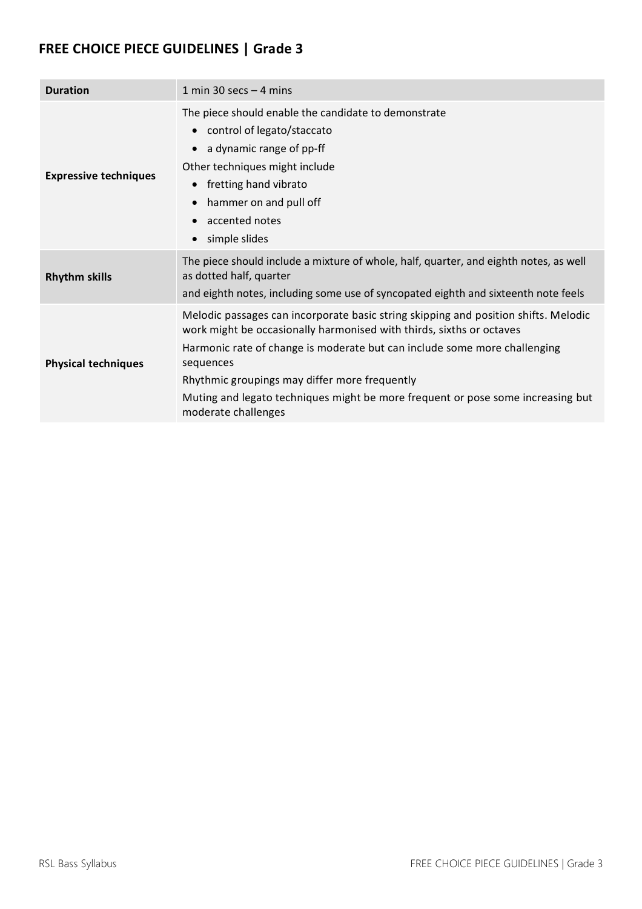| <b>Duration</b>              | 1 min 30 secs $-$ 4 mins                                                                                                                                                                                                                                                                                                                                                                                         |
|------------------------------|------------------------------------------------------------------------------------------------------------------------------------------------------------------------------------------------------------------------------------------------------------------------------------------------------------------------------------------------------------------------------------------------------------------|
| <b>Expressive techniques</b> | The piece should enable the candidate to demonstrate<br>control of legato/staccato<br>$\bullet$<br>a dynamic range of pp-ff<br>$\bullet$<br>Other techniques might include<br>fretting hand vibrato<br>$\bullet$<br>hammer on and pull off<br>$\bullet$<br>accented notes<br>$\bullet$<br>simple slides<br>$\bullet$                                                                                             |
| <b>Rhythm skills</b>         | The piece should include a mixture of whole, half, quarter, and eighth notes, as well<br>as dotted half, quarter<br>and eighth notes, including some use of syncopated eighth and sixteenth note feels                                                                                                                                                                                                           |
| <b>Physical techniques</b>   | Melodic passages can incorporate basic string skipping and position shifts. Melodic<br>work might be occasionally harmonised with thirds, sixths or octaves<br>Harmonic rate of change is moderate but can include some more challenging<br>sequences<br>Rhythmic groupings may differ more frequently<br>Muting and legato techniques might be more frequent or pose some increasing but<br>moderate challenges |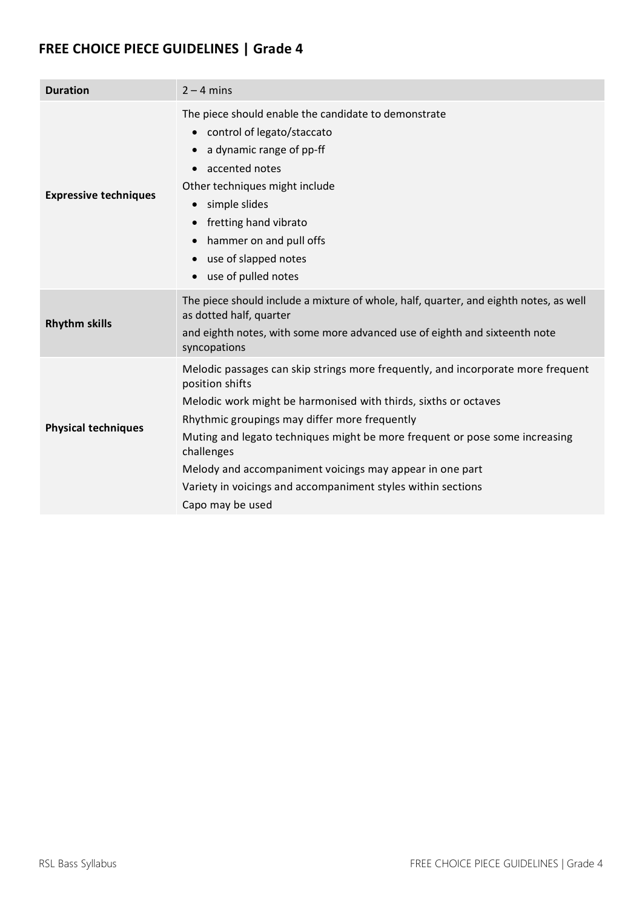| <b>Duration</b>              | $2 - 4$ mins                                                                                                                                                                                                                                                                                                                                                                                                                                                         |
|------------------------------|----------------------------------------------------------------------------------------------------------------------------------------------------------------------------------------------------------------------------------------------------------------------------------------------------------------------------------------------------------------------------------------------------------------------------------------------------------------------|
| <b>Expressive techniques</b> | The piece should enable the candidate to demonstrate<br>control of legato/staccato<br>$\bullet$<br>a dynamic range of pp-ff<br>$\bullet$<br>accented notes<br>$\bullet$<br>Other techniques might include<br>simple slides<br>$\bullet$<br>fretting hand vibrato<br>$\bullet$<br>hammer on and pull offs<br>$\bullet$<br>use of slapped notes<br>$\bullet$<br>use of pulled notes<br>$\bullet$                                                                       |
| <b>Rhythm skills</b>         | The piece should include a mixture of whole, half, quarter, and eighth notes, as well<br>as dotted half, quarter<br>and eighth notes, with some more advanced use of eighth and sixteenth note<br>syncopations                                                                                                                                                                                                                                                       |
| <b>Physical techniques</b>   | Melodic passages can skip strings more frequently, and incorporate more frequent<br>position shifts<br>Melodic work might be harmonised with thirds, sixths or octaves<br>Rhythmic groupings may differ more frequently<br>Muting and legato techniques might be more frequent or pose some increasing<br>challenges<br>Melody and accompaniment voicings may appear in one part<br>Variety in voicings and accompaniment styles within sections<br>Capo may be used |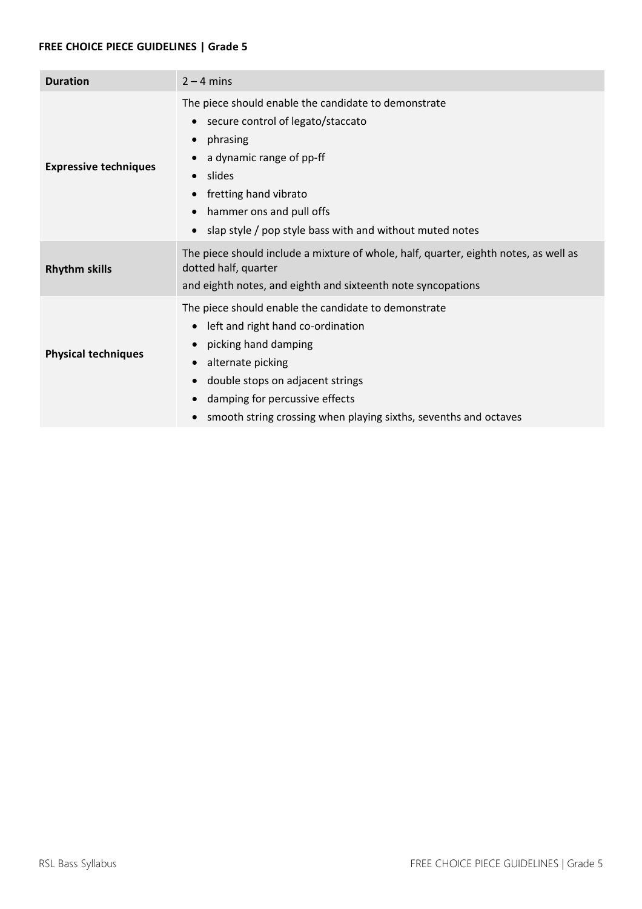| <b>Duration</b>              | $2 - 4$ mins                                                                                                                                                                                                                                                                                               |
|------------------------------|------------------------------------------------------------------------------------------------------------------------------------------------------------------------------------------------------------------------------------------------------------------------------------------------------------|
| <b>Expressive techniques</b> | The piece should enable the candidate to demonstrate<br>secure control of legato/staccato<br>phrasing<br>a dynamic range of pp-ff<br>slides<br>$\bullet$<br>fretting hand vibrato<br>hammer ons and pull offs<br>slap style / pop style bass with and without muted notes                                  |
| <b>Rhythm skills</b>         | The piece should include a mixture of whole, half, quarter, eighth notes, as well as<br>dotted half, quarter<br>and eighth notes, and eighth and sixteenth note syncopations                                                                                                                               |
| <b>Physical techniques</b>   | The piece should enable the candidate to demonstrate<br>left and right hand co-ordination<br>picking hand damping<br>alternate picking<br>$\bullet$<br>double stops on adjacent strings<br>$\bullet$<br>damping for percussive effects<br>smooth string crossing when playing sixths, sevenths and octaves |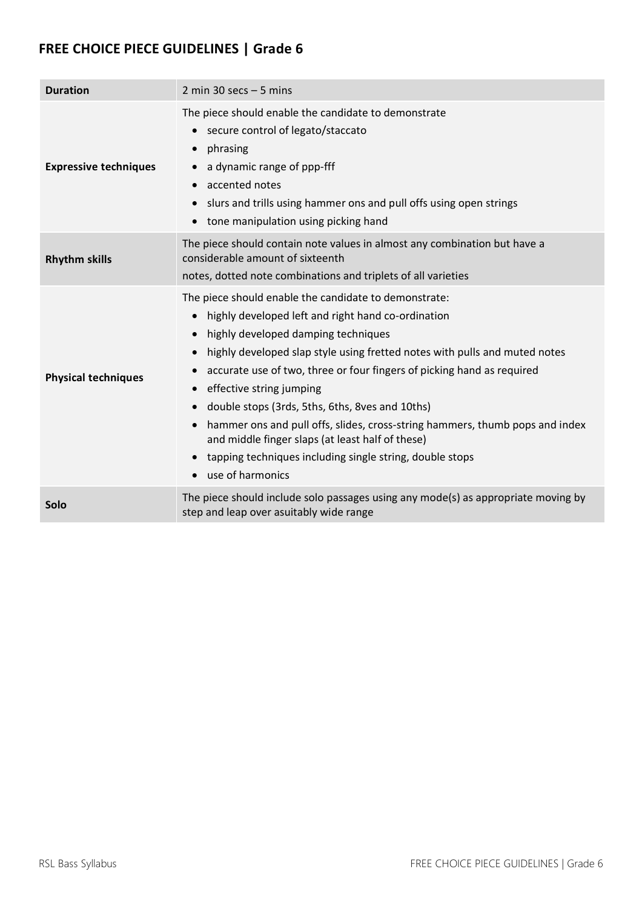| <b>Duration</b>              | 2 min 30 secs $-5$ mins                                                                                                                                                                                                                                                                                                                                                                                                                                                                                                                                                                                                                                                                     |
|------------------------------|---------------------------------------------------------------------------------------------------------------------------------------------------------------------------------------------------------------------------------------------------------------------------------------------------------------------------------------------------------------------------------------------------------------------------------------------------------------------------------------------------------------------------------------------------------------------------------------------------------------------------------------------------------------------------------------------|
| <b>Expressive techniques</b> | The piece should enable the candidate to demonstrate<br>secure control of legato/staccato<br>phrasing<br>$\bullet$<br>a dynamic range of ppp-fff<br>accented notes<br>slurs and trills using hammer ons and pull offs using open strings<br>tone manipulation using picking hand<br>$\bullet$                                                                                                                                                                                                                                                                                                                                                                                               |
| <b>Rhythm skills</b>         | The piece should contain note values in almost any combination but have a<br>considerable amount of sixteenth<br>notes, dotted note combinations and triplets of all varieties                                                                                                                                                                                                                                                                                                                                                                                                                                                                                                              |
| <b>Physical techniques</b>   | The piece should enable the candidate to demonstrate:<br>highly developed left and right hand co-ordination<br>$\bullet$<br>highly developed damping techniques<br>$\bullet$<br>highly developed slap style using fretted notes with pulls and muted notes<br>$\bullet$<br>accurate use of two, three or four fingers of picking hand as required<br>effective string jumping<br>$\bullet$<br>double stops (3rds, 5ths, 6ths, 8ves and 10ths)<br>$\bullet$<br>hammer ons and pull offs, slides, cross-string hammers, thumb pops and index<br>and middle finger slaps (at least half of these)<br>tapping techniques including single string, double stops<br>use of harmonics<br>$\bullet$ |
| Solo                         | The piece should include solo passages using any mode(s) as appropriate moving by<br>step and leap over asuitably wide range                                                                                                                                                                                                                                                                                                                                                                                                                                                                                                                                                                |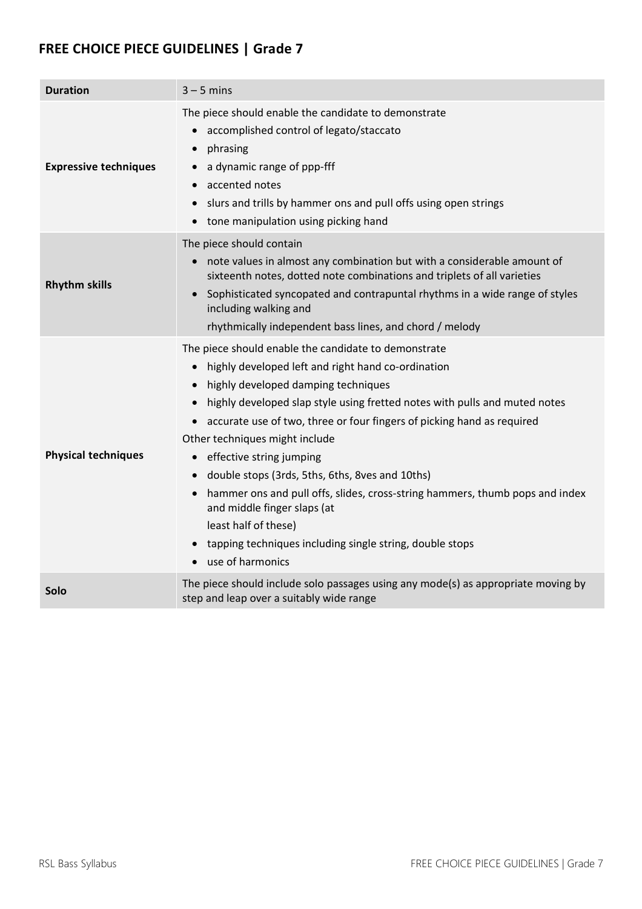| <b>Duration</b>              | $3 - 5$ mins                                                                                                                                                                                                                                                                                                                                                                                                                                                                                                                                                                                                                                                                                                                                                           |
|------------------------------|------------------------------------------------------------------------------------------------------------------------------------------------------------------------------------------------------------------------------------------------------------------------------------------------------------------------------------------------------------------------------------------------------------------------------------------------------------------------------------------------------------------------------------------------------------------------------------------------------------------------------------------------------------------------------------------------------------------------------------------------------------------------|
| <b>Expressive techniques</b> | The piece should enable the candidate to demonstrate<br>accomplished control of legato/staccato<br>phrasing<br>$\bullet$<br>a dynamic range of ppp-fff<br>$\bullet$<br>accented notes<br>$\bullet$<br>slurs and trills by hammer ons and pull offs using open strings<br>$\bullet$<br>tone manipulation using picking hand<br>$\bullet$                                                                                                                                                                                                                                                                                                                                                                                                                                |
| <b>Rhythm skills</b>         | The piece should contain<br>note values in almost any combination but with a considerable amount of<br>sixteenth notes, dotted note combinations and triplets of all varieties<br>Sophisticated syncopated and contrapuntal rhythms in a wide range of styles<br>$\bullet$<br>including walking and<br>rhythmically independent bass lines, and chord / melody                                                                                                                                                                                                                                                                                                                                                                                                         |
| <b>Physical techniques</b>   | The piece should enable the candidate to demonstrate<br>highly developed left and right hand co-ordination<br>$\bullet$<br>highly developed damping techniques<br>$\bullet$<br>highly developed slap style using fretted notes with pulls and muted notes<br>$\bullet$<br>accurate use of two, three or four fingers of picking hand as required<br>$\bullet$<br>Other techniques might include<br>effective string jumping<br>$\bullet$<br>double stops (3rds, 5ths, 6ths, 8ves and 10ths)<br>$\bullet$<br>hammer ons and pull offs, slides, cross-string hammers, thumb pops and index<br>$\bullet$<br>and middle finger slaps (at<br>least half of these)<br>tapping techniques including single string, double stops<br>$\bullet$<br>use of harmonics<br>$\bullet$ |
| Solo                         | The piece should include solo passages using any mode(s) as appropriate moving by<br>step and leap over a suitably wide range                                                                                                                                                                                                                                                                                                                                                                                                                                                                                                                                                                                                                                          |